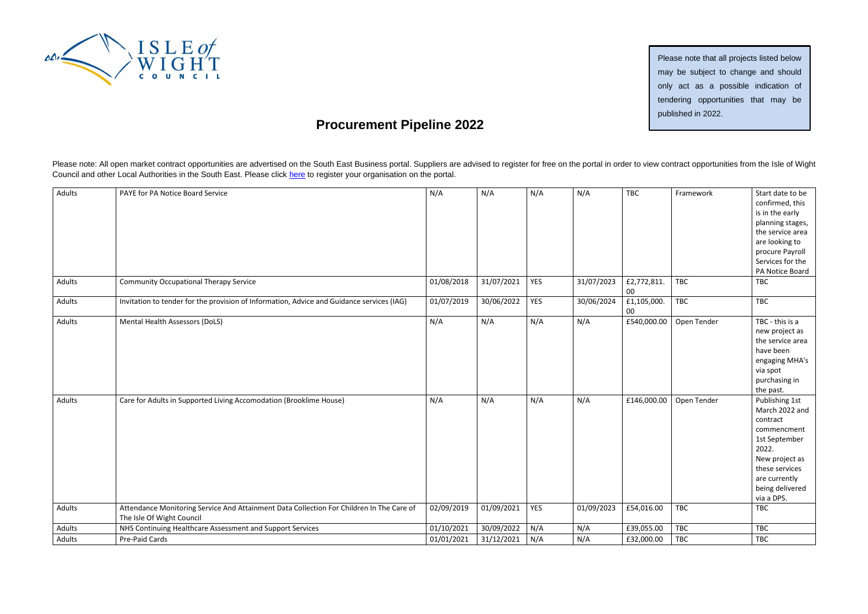

## **Procurement Pipeline 2022**

Please note: All open market contract opportunities are advertised on the South East Business portal. Suppliers are advised to register for free on the portal in order to view contract opportunities from the Isle of Wight Council and other Local Authorities in the South East. Please click [here](https://procontract.due-north.com/Register) to register your organisation on the portal.

| Adults | PAYE for PA Notice Board Service                                                                                      | N/A        | N/A        | N/A        | N/A        | <b>TBC</b>            | Framework   | Start date to be<br>confirmed, this<br>is in the early<br>planning stages,<br>the service area<br>are looking to<br>procure Payroll<br>Services for the<br>PA Notice Board  |
|--------|-----------------------------------------------------------------------------------------------------------------------|------------|------------|------------|------------|-----------------------|-------------|-----------------------------------------------------------------------------------------------------------------------------------------------------------------------------|
| Adults | <b>Community Occupational Therapy Service</b>                                                                         | 01/08/2018 | 31/07/2021 | YES        | 31/07/2023 | £2,772,811.<br>00     | <b>TBC</b>  | TBC                                                                                                                                                                         |
| Adults | Invitation to tender for the provision of Information, Advice and Guidance services (IAG)                             | 01/07/2019 | 30/06/2022 | <b>YES</b> | 30/06/2024 | £1,105,000.<br>$00\,$ | <b>TBC</b>  | <b>TBC</b>                                                                                                                                                                  |
| Adults | Mental Health Assessors (DoLS)                                                                                        | N/A        | N/A        | N/A        | N/A        | £540,000.00           | Open Tender | TBC - this is a<br>new project as<br>the service area<br>have been<br>engaging MHA's<br>via spot<br>purchasing in<br>the past.                                              |
| Adults | Care for Adults in Supported Living Accomodation (Brooklime House)                                                    | N/A        | N/A        | N/A        | N/A        | £146,000.00           | Open Tender | Publishing 1st<br>March 2022 and<br>contract<br>commencment<br>1st September<br>2022.<br>New project as<br>these services<br>are currently<br>being delivered<br>via a DPS. |
| Adults | Attendance Monitoring Service And Attainment Data Collection For Children In The Care of<br>The Isle Of Wight Council | 02/09/2019 | 01/09/2021 | <b>YES</b> | 01/09/2023 | £54,016.00            | <b>TBC</b>  | <b>TBC</b>                                                                                                                                                                  |
| Adults | NHS Continuing Healthcare Assessment and Support Services                                                             | 01/10/2021 | 30/09/2022 | N/A        | N/A        | £39,055.00            | TBC         | TBC                                                                                                                                                                         |
| Adults | Pre-Paid Cards                                                                                                        | 01/01/2021 | 31/12/2021 | N/A        | N/A        | £32,000.00            | <b>TBC</b>  | <b>TBC</b>                                                                                                                                                                  |

Please note that all projects listed below may be subject to change and should only act as a possible indication of tendering opportunities that may be published in 2022.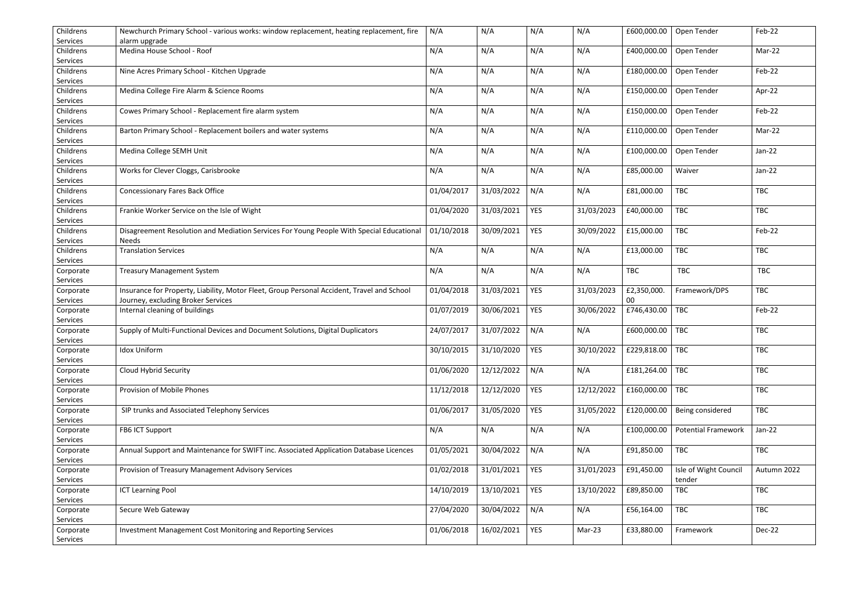| Childrens<br>Services | Newchurch Primary School - various works: window replacement, heating replacement, fire<br>alarm upgrade | N/A        | N/A        | N/A        | N/A        | £600,000.00 | Open Tender                | Feb-22      |
|-----------------------|----------------------------------------------------------------------------------------------------------|------------|------------|------------|------------|-------------|----------------------------|-------------|
| Childrens             | Medina House School - Roof                                                                               | N/A        | N/A        | N/A        | N/A        | £400,000.00 | Open Tender                | Mar-22      |
| Services              |                                                                                                          |            |            |            |            |             |                            |             |
| Childrens             | Nine Acres Primary School - Kitchen Upgrade                                                              | N/A        | N/A        | N/A        | N/A        | £180,000.00 | Open Tender                | Feb-22      |
| Services              |                                                                                                          |            |            |            |            |             |                            |             |
| Childrens             | Medina College Fire Alarm & Science Rooms                                                                | N/A        | N/A        | N/A        | N/A        | £150,000.00 | Open Tender                | Apr-22      |
| Services              |                                                                                                          |            |            |            |            |             |                            |             |
| Childrens             | Cowes Primary School - Replacement fire alarm system                                                     | N/A        | N/A        | N/A        | N/A        | £150,000.00 | Open Tender                | Feb-22      |
| Services              |                                                                                                          |            |            |            |            |             |                            |             |
| Childrens             | Barton Primary School - Replacement boilers and water systems                                            | N/A        | N/A        | N/A        | N/A        | £110,000.00 | Open Tender                | Mar-22      |
| Services              |                                                                                                          |            |            |            |            |             |                            |             |
| Childrens             | Medina College SEMH Unit                                                                                 | N/A        | N/A        | N/A        | N/A        | £100,000.00 | Open Tender                | $Jan-22$    |
| Services              |                                                                                                          |            |            |            |            |             |                            |             |
| Childrens             | Works for Clever Cloggs, Carisbrooke                                                                     | N/A        | N/A        | N/A        | N/A        | £85,000.00  | Waiver                     | $Jan-22$    |
| Services<br>Childrens |                                                                                                          |            | 31/03/2022 | N/A        |            |             | <b>TBC</b>                 |             |
| Services              | <b>Concessionary Fares Back Office</b>                                                                   | 01/04/2017 |            |            | N/A        | £81,000.00  |                            | TBC         |
| Childrens             | Frankie Worker Service on the Isle of Wight                                                              | 01/04/2020 | 31/03/2021 | <b>YES</b> | 31/03/2023 | £40,000.00  | TBC                        | <b>TBC</b>  |
| Services              |                                                                                                          |            |            |            |            |             |                            |             |
| Childrens             | Disagreement Resolution and Mediation Services For Young People With Special Educational                 | 01/10/2018 | 30/09/2021 | <b>YES</b> | 30/09/2022 | £15,000.00  | TBC                        | Feb-22      |
| Services              | <b>Needs</b>                                                                                             |            |            |            |            |             |                            |             |
| Childrens             | <b>Translation Services</b>                                                                              | N/A        | N/A        | N/A        | N/A        | £13,000.00  | <b>TBC</b>                 | <b>TBC</b>  |
| Services              |                                                                                                          |            |            |            |            |             |                            |             |
| Corporate             | <b>Treasury Management System</b>                                                                        | N/A        | N/A        | N/A        | N/A        | <b>TBC</b>  | <b>TBC</b>                 | <b>TBC</b>  |
| Services              |                                                                                                          |            |            |            |            |             |                            |             |
| Corporate             | Insurance for Property, Liability, Motor Fleet, Group Personal Accident, Travel and School               | 01/04/2018 | 31/03/2021 | <b>YES</b> | 31/03/2023 | £2,350,000. | Framework/DPS              | <b>TBC</b>  |
| Services              | Journey, excluding Broker Services                                                                       |            |            |            |            | 00          |                            |             |
| Corporate             | Internal cleaning of buildings                                                                           | 01/07/2019 | 30/06/2021 | <b>YES</b> | 30/06/2022 | £746,430.00 | <b>TBC</b>                 | Feb-22      |
| Services              |                                                                                                          |            |            |            |            |             |                            |             |
| Corporate             | Supply of Multi-Functional Devices and Document Solutions, Digital Duplicators                           | 24/07/2017 | 31/07/2022 | N/A        | N/A        | £600,000.00 | <b>TBC</b>                 | TBC         |
| Services              |                                                                                                          |            |            |            |            |             |                            |             |
| Corporate             | <b>Idox Uniform</b>                                                                                      | 30/10/2015 | 31/10/2020 | YES        | 30/10/2022 | £229,818.00 | TBC                        | <b>TBC</b>  |
| Services              |                                                                                                          |            |            |            |            |             |                            |             |
| Corporate             | Cloud Hybrid Security                                                                                    | 01/06/2020 | 12/12/2022 | N/A        | N/A        | £181,264.00 | <b>TBC</b>                 | <b>TBC</b>  |
| Services              |                                                                                                          |            |            |            |            |             |                            |             |
| Corporate<br>Services | Provision of Mobile Phones                                                                               | 11/12/2018 | 12/12/2020 | <b>YES</b> | 12/12/2022 | £160,000.00 | <b>TBC</b>                 | <b>TBC</b>  |
| Corporate             | SIP trunks and Associated Telephony Services                                                             | 01/06/2017 | 31/05/2020 | <b>YES</b> | 31/05/2022 | £120,000.00 | Being considered           | <b>TBC</b>  |
| Services              |                                                                                                          |            |            |            |            |             |                            |             |
| Corporate             | FB6 ICT Support                                                                                          | N/A        | N/A        | N/A        | N/A        | £100,000.00 | <b>Potential Framework</b> | $Jan-22$    |
| Services              |                                                                                                          |            |            |            |            |             |                            |             |
| Corporate             | Annual Support and Maintenance for SWIFT inc. Associated Application Database Licences                   | 01/05/2021 | 30/04/2022 | N/A        | N/A        | £91,850.00  | TBC                        | TBC         |
| Services              |                                                                                                          |            |            |            |            |             |                            |             |
| Corporate             | Provision of Treasury Management Advisory Services                                                       | 01/02/2018 | 31/01/2021 | <b>YES</b> | 31/01/2023 | £91,450.00  | Isle of Wight Council      | Autumn 2022 |
| Services              |                                                                                                          |            |            |            |            |             | tender                     |             |
| Corporate             | <b>ICT Learning Pool</b>                                                                                 | 14/10/2019 | 13/10/2021 | <b>YES</b> | 13/10/2022 | £89,850.00  | TBC                        | TBC         |
| Services              |                                                                                                          |            |            |            |            |             |                            |             |
| Corporate             | Secure Web Gateway                                                                                       | 27/04/2020 | 30/04/2022 | N/A        | N/A        | £56,164.00  | TBC                        | <b>TBC</b>  |
| Services              |                                                                                                          |            |            |            |            |             |                            |             |
| Corporate             | Investment Management Cost Monitoring and Reporting Services                                             | 01/06/2018 | 16/02/2021 | <b>YES</b> | Mar-23     | £33,880.00  | Framework                  | Dec-22      |
| Services              |                                                                                                          |            |            |            |            |             |                            |             |